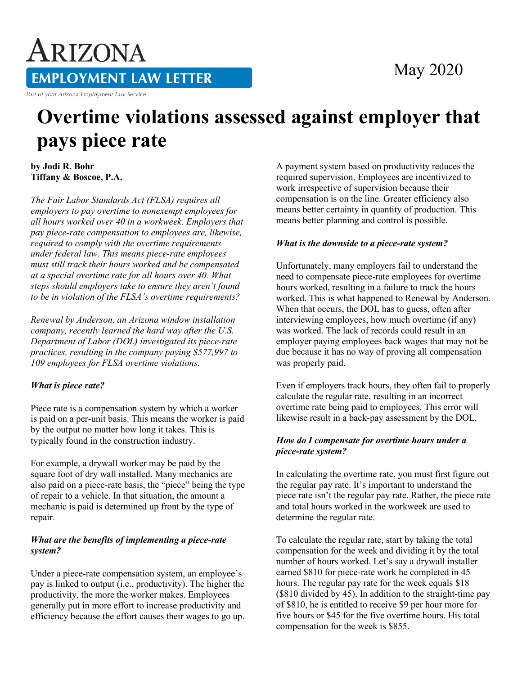# ARIZONA **EMPLOYMENT LAW LETTER**

Part of your Arizona Employment Law Service

### May 2020

## **Overtime violations assessed against employer that pays piece rate**

**by Jodi R. Bohr Tiffany & Boscoe, P.A.**

*The Fair Labor Standards Act (FLSA) requires all employers to pay overtime to nonexempt employees for all hours worked over 40 in a workweek. Employers that pay piece-rate compensation to employees are, likewise, required to comply with the overtime requirements under federal law. This means piece-rate employees must still track their hours worked and be compensated at a special overtime rate for all hours over 40. What steps should employers take to ensure they aren't found to be in violation of the FLSA's overtime requirements?*

*Renewal by Anderson, an Arizona window installation company, recently learned the hard way after the U.S. Department of Labor (DOL) investigated its piece-rate practices, resulting in the company paying \$577,997 to 109 employees for FLSA overtime violations.*

#### *What is piece rate?*

Piece rate is a compensation system by which a worker is paid on a per-unit basis. This means the worker is paid by the output no matter how long it takes. This is typically found in the construction industry.

For example, a drywall worker may be paid by the square foot of dry wall installed. Many mechanics are also paid on a piece-rate basis, the "piece" being the type of repair to a vehicle. In that situation, the amount a mechanic is paid is determined up front by the type of repair.

#### *What are the benefits of implementing a piece-rate system?*

Under a piece-rate compensation system, an employee's pay is linked to output (i.e., productivity). The higher the productivity, the more the worker makes. Employees generally put in more effort to increase productivity and efficiency because the effort causes their wages to go up. A payment system based on productivity reduces the required supervision. Employees are incentivized to work irrespective of supervision because their compensation is on the line. Greater efficiency also means better certainty in quantity of production. This means better planning and control is possible.

#### *What is the downside to a piece-rate system?*

Unfortunately, many employers fail to understand the need to compensate piece-rate employees for overtime hours worked, resulting in a failure to track the hours worked. This is what happened to Renewal by Anderson. When that occurs, the DOL has to guess, often after interviewing employees, how much overtime (if any) was worked. The lack of records could result in an employer paying employees back wages that may not be due because it has no way of proving all compensation was properly paid.

Even if employers track hours, they often fail to properly calculate the regular rate, resulting in an incorrect overtime rate being paid to employees. This error will likewise result in a back-pay assessment by the DOL.

#### *How do I compensate for overtime hours under a piece-rate system?*

In calculating the overtime rate, you must first figure out the regular pay rate. It's important to understand the piece rate isn't the regular pay rate. Rather, the piece rate and total hours worked in the workweek are used to determine the regular rate.

To calculate the regular rate, start by taking the total compensation for the week and dividing it by the total number of hours worked. Let's say a drywall installer earned \$810 for piece-rate work he completed in 45 hours. The regular pay rate for the week equals \$18 (\$810 divided by 45). In addition to the straight-time pay of \$810, he is entitled to receive \$9 per hour more for five hours or \$45 for the five overtime hours. His total compensation for the week is \$855.